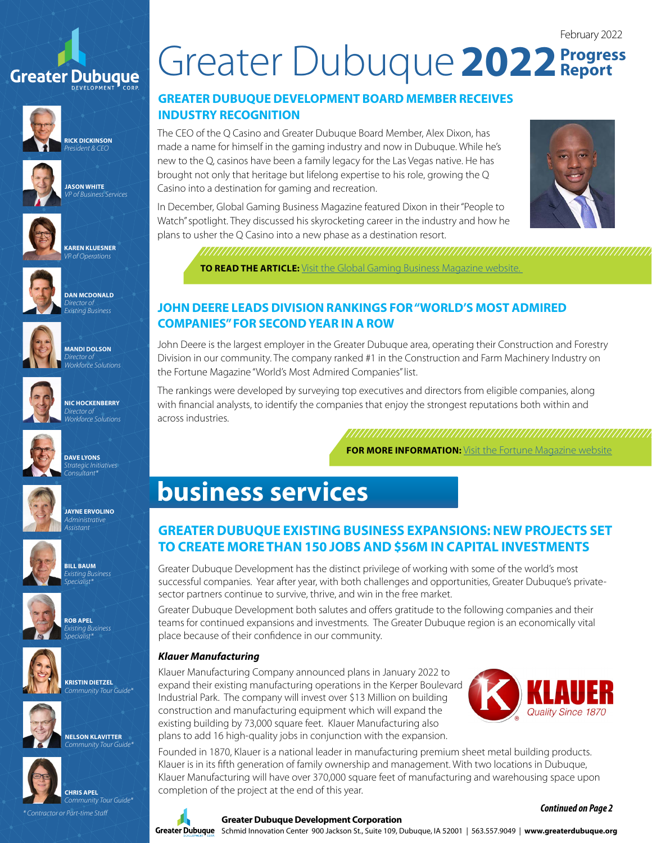# **Greater Dubuque**



**RICK DICKINSON** *President & CEO*







*VP of Business Services*



**DAN MCDONALD** *Existing Business*







**NIC HOCKENBERRY** *Workforce Solutions*



**JAYNE ERVOLINO** *Administrative* 

*Assistant*

**DAVE LYONS** *Strategic Initiatives Consultant\**

**BILL BAUM** *Existing Business Specialist\**







**KRISTIN DIETZEL**



**NELSON KLAVITTER**



**CHRIS APEL** *Community Tour Guide\**

*\* Contractor or Part-time Staff*

# February 2022 Greater Dubuque 2022 **Progress**

## **GREATER DUBUQUE DEVELOPMENT BOARD MEMBER RECEIVES INDUSTRY RECOGNITION**

The CEO of the Q Casino and Greater Dubuque Board Member, Alex Dixon, has made a name for himself in the gaming industry and now in Dubuque. While he's new to the Q, casinos have been a family legacy for the Las Vegas native. He has brought not only that heritage but lifelong expertise to his role, growing the Q Casino into a destination for gaming and recreation.

In December, Global Gaming Business Magazine featured Dixon in their "People to Watch" spotlight. They discussed his skyrocketing career in the industry and how he plans to usher the Q Casino into a new phase as a destination resort.



**TO READ THE ARTICLE:** Visit the Global Gaming Business Magazine website.

### **JOHN DEERE LEADS DIVISION RANKINGS FOR "WORLD'S MOST ADMIRED COMPANIES" FOR SECOND YEAR IN A ROW**

John Deere is the largest employer in the Greater Dubuque area, operating their Construction and Forestry Division in our community. The company ranked #1 in the Construction and Farm Machinery Industry on the Fortune Magazine "World's Most Admired Companies" list.

The rankings were developed by surveying top executives and directors from eligible companies, along with financial analysts, to identify the companies that enjoy the strongest reputations both within and across industries.

**FOR MORE INFORMATION:** [Visit the](https://fortune.com/company/deere/worlds-most-admired-companies/) Fortune Magazine website

# **business services**

# **GREATER DUBUQUE EXISTING BUSINESS EXPANSIONS: NEW PROJECTS SET TO CREATE MORE THAN 150 JOBS AND \$56M IN CAPITAL INVESTMENTS**

Greater Dubuque Development has the distinct privilege of working with some of the world's most successful companies. Year after year, with both challenges and opportunities, Greater Dubuque's privatesector partners continue to survive, thrive, and win in the free market.

Greater Dubuque Development both salutes and offers gratitude to the following companies and their teams for continued expansions and investments. The Greater Dubuque region is an economically vital place because of their confidence in our community.

#### *Klauer Manufacturing*

Klauer Manufacturing Company announced plans in January 2022 to expand their existing manufacturing operations in the Kerper Boulevard Industrial Park. The company will invest over \$13 Million on building construction and manufacturing equipment which will expand the existing building by 73,000 square feet. Klauer Manufacturing also plans to add 16 high-quality jobs in conjunction with the expansion.



Founded in 1870, Klauer is a national leader in manufacturing premium sheet metal building products. Klauer is in its fifth generation of family ownership and management. With two locations in Dubuque, Klauer Manufacturing will have over 370,000 square feet of manufacturing and warehousing space upon completion of the project at the end of this year.



#### **Greater Dubuque Development Corporation**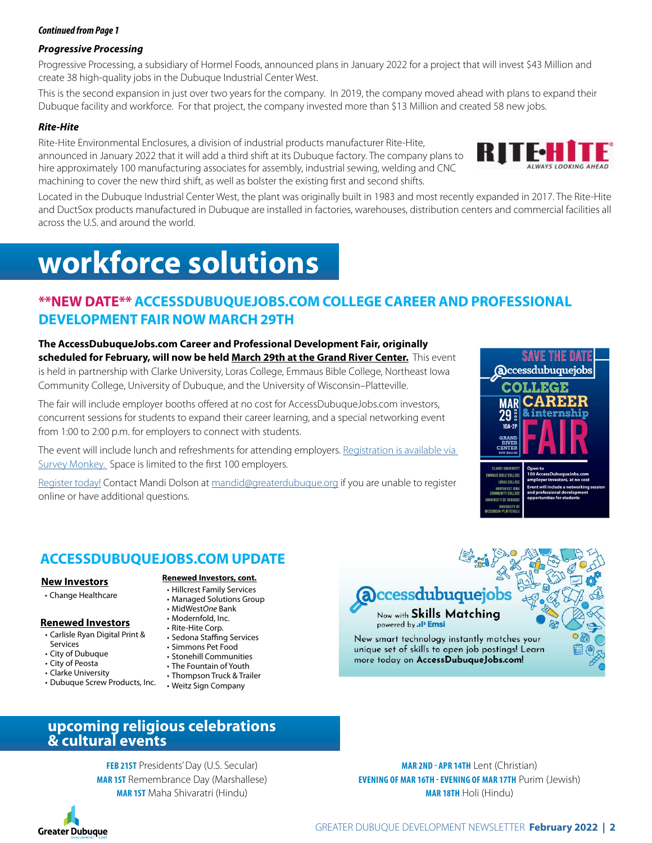#### *Continued from Page 1*

#### *Progressive Processing*

Progressive Processing, a subsidiary of Hormel Foods, announced plans in January 2022 for a project that will invest \$43 Million and create 38 high-quality jobs in the Dubuque Industrial Center West.

This is the second expansion in just over two years for the company. In 2019, the company moved ahead with plans to expand their Dubuque facility and workforce. For that project, the company invested more than \$13 Million and created 58 new jobs.

#### *Rite-Hite*

Rite-Hite Environmental Enclosures, a division of industrial products manufacturer Rite-Hite, announced in January 2022 that it will add a third shift at its Dubuque factory. The company plans to hire approximately 100 manufacturing associates for assembly, industrial sewing, welding and CNC machining to cover the new third shift, as well as bolster the existing first and second shifts.



Located in the Dubuque Industrial Center West, the plant was originally built in 1983 and most recently expanded in 2017. The Rite-Hite and DuctSox products manufactured in Dubuque are installed in factories, warehouses, distribution centers and commercial facilities all across the U.S. and around the world.

# **workforce solutions**

# **\*\*NEW DATE\*\* ACCESSDUBUQUEJOBS.COM COLLEGE CAREER AND PROFESSIONAL DEVELOPMENT FAIR NOW MARCH 29TH**

**The AccessDubuqueJobs.com Career and Professional Development Fair, originally scheduled for February, will now be held March 29th at the Grand River Center.** This event is held in partnership with Clarke University, Loras College, Emmaus Bible College, Northeast Iowa Community College, University of Dubuque, and the University of Wisconsin–Platteville.

The fair will include employer booths offered at no cost for AccessDubuqueJobs.com investors, concurrent sessions for students to expand their career learning, and a special networking event from 1:00 to 2:00 p.m. for employers to connect with students.

The event will include lunch and refreshments for attending employers. Registration is available via [Survey Monkey.](https://www.surveymonkey.com/r/PX9ZWL6) Space is limited to the first 100 employers.

[Register today!](https://www.surveymonkey.com/r/PX9ZWL6) Contact Mandi Dolson at [mandid@greaterdubuque.org](mailto:mandid%40greaterdubuque.org?subject=) if you are unable to register online or have additional questions.



## **ACCESSDUBUQUEJOBS.COM UPDATE**

#### **New Investors**

• Change Healthcare

## **Renewed Investors**

- Carlisle Ryan Digital Print &
- Services
- City of Dubuque
- City of Peosta
- Clarke University
- Dubuque Screw Products, Inc. Weitz Sign Company

**Renewed Investors, cont.**

- Hillcrest Family Services
- Managed Solutions Group • MidWest*One* Bank
- Modernfold, Inc.
- Rite-Hite Corp.
- Sedona Staffing Services
- Simmons Pet Food
- Stonehill Communities
- The Fountain of Youth
- Thompson Truck & Trailer
- 



Now with **Skills Matching** powered by .. I' Emsi

New smart technology instantly matches your unique set of skills to open job postings! Learn more today on AccessDubuqueJobs.com!



**FEB 21ST** Presidents' Day (U.S. Secular) **MAR 1ST** Remembrance Day (Marshallese) **MAR 1ST** Maha Shivaratri (Hindu)

**Greater Dubuque** 

**MAR 18TH** Holi (Hindu)

**MAR 2ND - APR 14TH** Lent (Christian) **EVENING OF MAR 16TH - EVENING OF MAR 17TH** Purim (Jewish)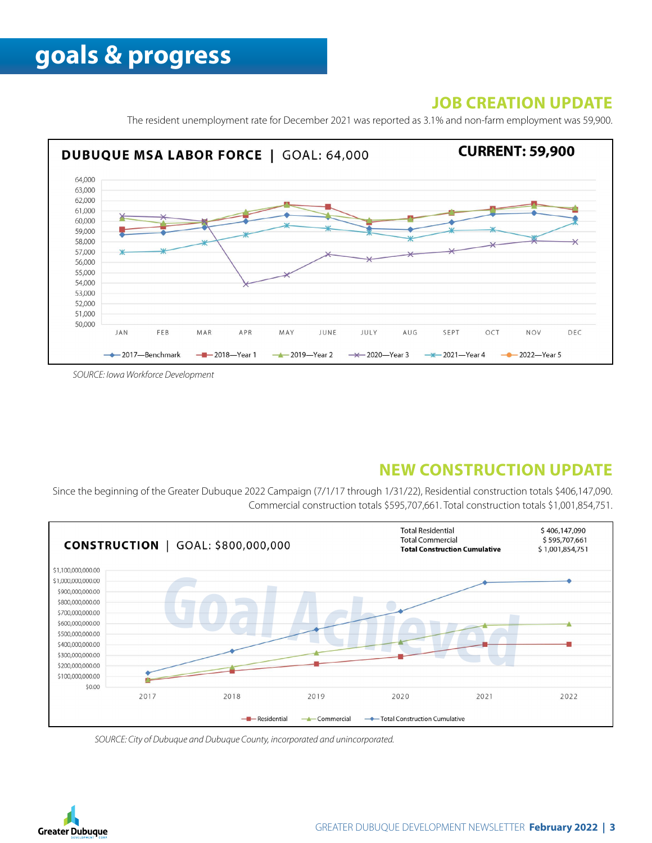# **JOB CREATION UPDATE**

The resident unemployment rate for December 2021 was reported as 3.1% and non-farm employment was 59,900.



*SOURCE: Iowa Workforce Development*

# **NEW CONSTRUCTION UPDATE**

Since the beginning of the Greater Dubuque 2022 Campaign (7/1/17 through 1/31/22), Residential construction totals \$406,147,090. Commercial construction totals \$595,707,661. Total construction totals \$1,001,854,751.



*SOURCE: City of Dubuque and Dubuque County, incorporated and unincorporated.*